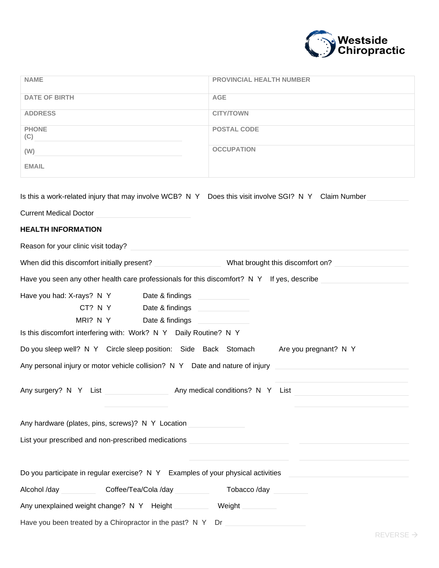

| <b>NAME</b>                                                                                           | PROVINCIAL HEALTH NUMBER |  |  |  |
|-------------------------------------------------------------------------------------------------------|--------------------------|--|--|--|
| <b>DATE OF BIRTH</b>                                                                                  | <b>AGE</b>               |  |  |  |
| <b>ADDRESS</b>                                                                                        | <b>CITY/TOWN</b>         |  |  |  |
| <b>PHONE</b><br>(C)                                                                                   | <b>POSTAL CODE</b>       |  |  |  |
| (W)                                                                                                   | <b>OCCUPATION</b>        |  |  |  |
| <b>EMAIL</b>                                                                                          |                          |  |  |  |
| Is this a work-related injury that may involve WCB? N Y Does this visit involve SGI? N Y Claim Number |                          |  |  |  |
| <b>Current Medical Doctor</b>                                                                         |                          |  |  |  |
| <b>HEALTH INFORMATION</b>                                                                             |                          |  |  |  |
| Reason for your clinic visit today?                                                                   |                          |  |  |  |
| When did this discomfort initially present? What brought this discomfort on?                          |                          |  |  |  |
| Have you seen any other health care professionals for this discomfort? N Y If yes, describe           |                          |  |  |  |
| Have you had: X-rays? N Y Date & findings                                                             |                          |  |  |  |
| CT? N Y Date & findings                                                                               |                          |  |  |  |
|                                                                                                       |                          |  |  |  |
| Is this discomfort interfering with: Work? N Y Daily Routine? N Y                                     |                          |  |  |  |
| Do you sleep well? N Y Circle sleep position: Side Back Stomach Are you pregnant? N Y                 |                          |  |  |  |
| Any personal injury or motor vehicle collision? N Y Date and nature of injury                         |                          |  |  |  |
| Any surgery? N Y List<br>Any medical conditions? N Y List                                             |                          |  |  |  |
| Any hardware (plates, pins, screws)? N Y Location                                                     |                          |  |  |  |
|                                                                                                       |                          |  |  |  |
| List your prescribed and non-prescribed medications                                                   |                          |  |  |  |
| Do you participate in regular exercise? N Y Examples of your physical activities                      |                          |  |  |  |
| Alcohol /day<br>Coffee/Tea/Cola /day                                                                  | Tobacco /day             |  |  |  |
| Any unexplained weight change? N Y Height                                                             | Weight                   |  |  |  |
| Have you been treated by a Chiropractor in the past? N Y                                              | Dr                       |  |  |  |